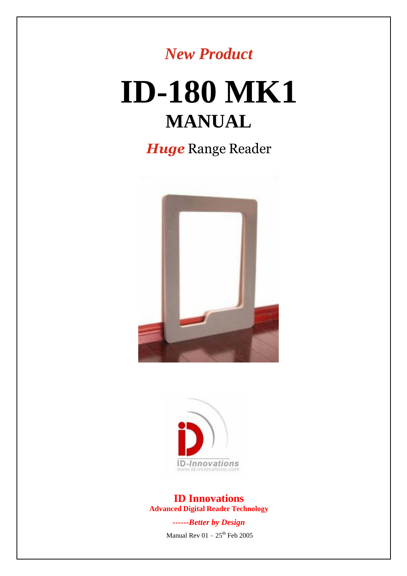

# **ID-180 MK1 MANUAL**

*Huge* Range Reader





**ID Innovations Advanced Digital Reader Technology**

> *------Better by Design* Manual Rev  $01 - 25$ <sup>th</sup> Feb 2005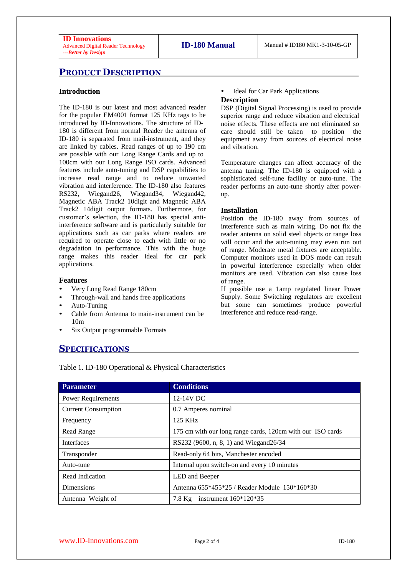# **PRODUCT DESCRIPTION**

#### **Introduction**

The ID-180 is our latest and most advanced reader for the popular EM4001 format 125 KHz tags to be introduced by ID-Innovations. The structure of ID-180 is different from normal Reader the antenna of ID-180 is separated from mail-instrument, and they are linked by cables. Read ranges of up to 190 cm are possible with our Long Range Cards and up to 100cm with our Long Range ISO cards. Advanced features include auto-tuning and DSP capabilities to increase read range and to reduce unwanted vibration and interference. The ID-180 also features RS232, Wiegand26, Wiegand34, Wiegand42, Magnetic ABA Track2 10digit and Magnetic ABA Track2 14digit output formats. Furthermore, for customer's selection, the ID-180 has special antiinterference software and is particularly suitable for applications such as car parks where readers are required to operate close to each with little or no degradation in performance. This with the huge range makes this reader ideal for car park applications.

#### **Features**

- Very Long Read Range 180cm
- Through-wall and hands free applications
- Auto-Tuning
- Cable from Antenna to main-instrument can be 10m
- Six Output programmable Formats

## **SPECIFICATIONS**

• Ideal for Car Park Applications **Description**

#### DSP (Digital Signal Processing) is used to provide superior range and reduce vibration and electrical noise effects. These effects are not eliminated so care should still be taken to position the equipment away from sources of electrical noise

Temperature changes can affect accuracy of the antenna tuning. The ID-180 is equipped with a sophisticated self-tune facility or auto-tune. The reader performs an auto-tune shortly after powerup.

#### **Installation**

and vibration.

Position the ID-180 away from sources of interference such as main wiring. Do not fix the reader antenna on solid steel objects or range loss will occur and the auto-tuning may even run out of range. Moderate metal fixtures are acceptable. Computer monitors used in DOS mode can result in powerful interference especially when older monitors are used. Vibration can also cause loss of range.

If possible use a 1amp regulated linear Power Supply. Some Switching regulators are excellent but some can sometimes produce powerful interference and reduce read-range.

| <b>Parameter</b>           | <b>Conditions</b>                                          |
|----------------------------|------------------------------------------------------------|
| <b>Power Requirements</b>  | 12-14V DC                                                  |
| <b>Current Consumption</b> | 0.7 Amperes nominal                                        |
| Frequency                  | 125 KHz                                                    |
| Read Range                 | 175 cm with our long range cards, 120cm with our ISO cards |
| <b>Interfaces</b>          | RS232 (9600, n, 8, 1) and Wiegand26/34                     |
| Transponder                | Read-only 64 bits, Manchester encoded                      |
| Auto-tune                  | Internal upon switch-on and every 10 minutes               |
| Read Indication            | LED and Beeper                                             |
| <b>Dimensions</b>          | Antenna 655*455*25 / Reader Module 150*160*30              |
| Antenna Weight of          | instrument $160*120*35$<br>7.8 Kg                          |

Table 1. ID-180 Operational & Physical Characteristics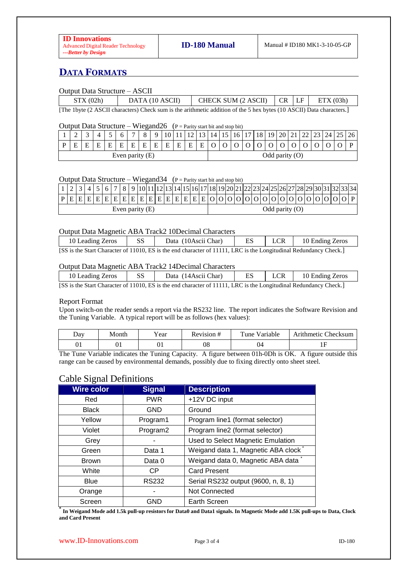# **DATA FORMATS**

#### Output Data Structure – ASCII

| STX(02h)                                                                                                             | DATA (10 ASCII) | CHECK SUM (2 ASCII) | CR LF |  | ETX(03h) |  |  |
|----------------------------------------------------------------------------------------------------------------------|-----------------|---------------------|-------|--|----------|--|--|
| [The 1byte (2 ASCII characters) Check sum is the arithmetic addition of the 5 hex bytes (10 ASCII) Data characters.] |                 |                     |       |  |          |  |  |

#### Output Data Structure – Wiegand26 ( $P =$  Parity start bit and stop bit)

|                   |   |   |              |   |              | $\overline{ }$ |   |   |   |   |   |                  |  |  |  | 16   17   18   19   20   21 | 44 | $23 \mid 24 \mid 25$ | 26 |
|-------------------|---|---|--------------|---|--------------|----------------|---|---|---|---|---|------------------|--|--|--|-----------------------------|----|----------------------|----|
|                   | E | Е | $\mathbf{E}$ | E | $E_{\rm{L}}$ | E              | E | E | E | E | E | E                |  |  |  |                             |    |                      |    |
| Even parity $(E)$ |   |   |              |   |              |                |   |   |   |   |   | Odd parity $(O)$ |  |  |  |                             |    |                      |    |

#### Output Data Structure – Wiegand 34 ( $P =$  Parity start bit and stop bit)

|                   |  |  |  |  |  |  |  |  |  |  |  |  |                  |  | 1   2   3   4   5   6   7   8   9  10 11 12 13 14 15 16 17 18 19 20 21 22 23 24 25 26 27 28 29 30 31 32 33 34 |  |  |  |  |  |  |  |
|-------------------|--|--|--|--|--|--|--|--|--|--|--|--|------------------|--|---------------------------------------------------------------------------------------------------------------|--|--|--|--|--|--|--|
|                   |  |  |  |  |  |  |  |  |  |  |  |  |                  |  | $[P E E E E E E E E E E E E E E E E E E O O O O O O O O O O O O O O P $                                       |  |  |  |  |  |  |  |
| Even parity $(E)$ |  |  |  |  |  |  |  |  |  |  |  |  | Odd parity $(O)$ |  |                                                                                                               |  |  |  |  |  |  |  |

#### Output Data Magnetic ABA Track2 10Decimal Characters

| 10 Leading Zeros | SS                      | Data (10 Ascii Char) | ES                                                                  | LCR | 10 Ending Zeros |
|------------------|-------------------------|----------------------|---------------------------------------------------------------------|-----|-----------------|
| $AA^+$ $A^ A^ A$ | $0.11010$ mm $^{\circ}$ |                      | $0.11111$ $\mathbf{F} \cap \mathbf{C}$ $\mathbf{F} \cap \mathbf{F}$ |     |                 |

[SS is the Start Character of 11010, ES is the end character of 11111, LRC is the Longitudinal Redundancy Check.]

#### Output Data Magnetic ABA Track2 14Decimal Characters

| 10 Leading Zeros                                                                                                  | <b>SS</b> | Data (14 Ascii Char) | ES | <b>LCR</b> | 10 Ending Zeros |  |  |  |
|-------------------------------------------------------------------------------------------------------------------|-----------|----------------------|----|------------|-----------------|--|--|--|
| [SS is the Start Character of 11010, ES is the end character of 11111, LRC is the Longitudinal Redundancy Check.] |           |                      |    |            |                 |  |  |  |

#### Report Format

Upon switch-on the reader sends a report via the RS232 line. The report indicates the Software Revision and the Tuning Variable. A typical report will be as follows (hex values):

| $\Delta$ dv | Month | 'ear | <br>Rev1510n# | $\mathbf{r}$<br>√arıable<br>une | $\sim$<br>Checksum<br>Arithmetic ' |
|-------------|-------|------|---------------|---------------------------------|------------------------------------|
| 01          | 01    | UΙ   | 08            | 04                              | <b>TT</b>                          |

The Tune Variable indicates the Tuning Capacity. A figure between 01h-0Dh is OK. A figure outside this range can be caused by environmental demands, possibly due to fixing directly onto sheet steel.

# Cable Signal Definitions

| <b>Wire color</b> | <b>Signal</b> | <b>Description</b>                              |  |  |  |  |  |  |
|-------------------|---------------|-------------------------------------------------|--|--|--|--|--|--|
| Red               | <b>PWR</b>    | +12V DC input                                   |  |  |  |  |  |  |
| <b>Black</b>      | <b>GND</b>    | Ground                                          |  |  |  |  |  |  |
| Yellow            | Program1      | Program line1 (format selector)                 |  |  |  |  |  |  |
| Violet            | Program2      | Program line2 (format selector)                 |  |  |  |  |  |  |
| Grey              |               | Used to Select Magnetic Emulation               |  |  |  |  |  |  |
| Green             | Data 1        | Weigand data 1, Magnetic ABA clock <sup>*</sup> |  |  |  |  |  |  |
| <b>Brown</b>      | Data 0        | Weigand data 0, Magnetic ABA data               |  |  |  |  |  |  |
| White             | CP.           | <b>Card Present</b>                             |  |  |  |  |  |  |
| <b>Blue</b>       | <b>RS232</b>  | Serial RS232 output (9600, n, 8, 1)             |  |  |  |  |  |  |
| Orange            |               | Not Connected                                   |  |  |  |  |  |  |
| Screen            | GND           | Earth Screen                                    |  |  |  |  |  |  |

 $^*$  In Weigand Mode add 1.5k pull-up resistors for Data0 and Data1 signals. In Magnetic Mode add 1.5K pull-ups to Data, Clock **and Card Present**